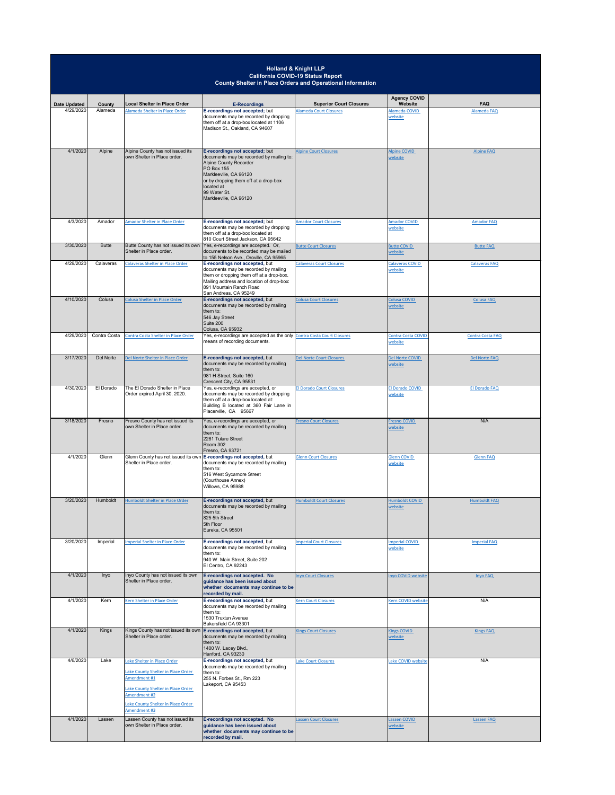|                                  |                   |                                                                                                                                                                                               |                                                                                                                                                                                                                                               | <b>Holland &amp; Knight LLP</b><br><b>California COVID-19 Status Report</b><br><b>County Shelter in Place Orders and Operational Information</b> |                                            |                           |
|----------------------------------|-------------------|-----------------------------------------------------------------------------------------------------------------------------------------------------------------------------------------------|-----------------------------------------------------------------------------------------------------------------------------------------------------------------------------------------------------------------------------------------------|--------------------------------------------------------------------------------------------------------------------------------------------------|--------------------------------------------|---------------------------|
|                                  |                   |                                                                                                                                                                                               |                                                                                                                                                                                                                                               |                                                                                                                                                  | <b>Agency COVID</b>                        |                           |
| <b>Date Updated</b><br>4/29/2020 | County<br>Alameda | Local Shelter in Place Order<br>Alameda Shelter in Place Order                                                                                                                                | <b>E-Recordings</b><br>E-recordings not accepted; but<br>documents may be recorded by dropping<br>them off at a drop-box located at 1106<br>Madison St., Oakland, CA 94607                                                                    | <b>Superior Court Closures</b><br><b>Alameda Court Closures</b>                                                                                  | <b>Website</b><br>Alameda COVID<br>website | <b>FAQ</b><br>Alameda FAQ |
| 4/1/2020                         | Alpine            | Alpine County has not issued its<br>own Shelter in Place order.                                                                                                                               | E-recordings not accepted; but<br>documents may be recorded by mailing to:<br>Alpine County Recorder<br>PO Box 155<br>Markleeville, CA 96120<br>or by dropping them off at a drop-box<br>located at<br>99 Water St.<br>Markleeville, CA 96120 | <b>Alpine Court Closures</b>                                                                                                                     | <b>Alpine COVID</b><br>website             | <b>Alpine FAQ</b>         |
| 4/3/2020                         | Amador            | Amador Shelter in Place Order                                                                                                                                                                 | E-recordings not accepted; but<br>documents may be recorded by dropping<br>them off at a drop-box located at<br>810 Court Street Jackson, CA 95642                                                                                            | <b>Amador Court Closures</b>                                                                                                                     | <b>Amador COVID</b><br>website             | <b>Amador FAQ</b>         |
| 3/30/2020                        | <b>Butte</b>      | Butte County has not issued its own<br>Shelter in Place order.                                                                                                                                | Yes, e-recordings are accepted. Or,<br>documents to be recorded may be mailed<br>to 155 Nelson Ave., Oroville, CA 95965                                                                                                                       | <b>Butte Court Closures</b>                                                                                                                      | <b>Butte COVID</b><br>website              | <b>Butte FAQ</b>          |
| 4/29/2020                        | Calaveras         | <b>Calaveras Shelter in Place Order</b>                                                                                                                                                       | E-recordings not accepted, but<br>documents may be recorded by mailing<br>them or dropping them off at a drop-box.<br>Mailing address and location of drop-box:<br>891 Mountain Ranch Road<br>San Andreas, CA 95249                           | <b>Calaveras Court Closures</b>                                                                                                                  | <b>Calaveras COVID</b><br>website          | <b>Calaveras FAQ</b>      |
| 4/10/2020                        | Colusa            | <b>Colusa Shelter in Place Order</b>                                                                                                                                                          | E-recordings not accepted, but<br>documents may be recorded by mailing<br>them to:<br>546 Jay Street<br>Suite 200<br>Colusa, CA 95932                                                                                                         | <b>Colusa Court Closures</b>                                                                                                                     | <b>Colusa COVID</b><br>website             | <b>Colusa FAQ</b>         |
| 4/29/2020                        | Contra Costa      | Contra Costa Shelter in Place Order                                                                                                                                                           | Yes, e-recordings are accepted as the only Contra Costa Court Closures<br>means of recording documents.                                                                                                                                       |                                                                                                                                                  | Contra Costa COVID<br>website              | <b>Contra Costa FAQ</b>   |
| 3/17/2020                        | Del Norte         | Del Norte Shelter in Place Order                                                                                                                                                              | E-recordings not accepted, but<br>documents may be recorded by mailing<br>them to:<br>981 H Street, Suite 160<br>Crescent City, CA 95531                                                                                                      | <b>Del Norte Court Closures</b>                                                                                                                  | Del Norte COVID<br>website                 | Del Norte FAQ             |
| 4/30/2020                        | El Dorado         | The El Dorado Shelter in Place<br>Order expired April 30, 2020.                                                                                                                               | Yes, e-recordings are accepted, or<br>documents may be recorded by dropping<br>them off at a drop-box located at:<br>Building B located at 360 Fair Lane in<br>Placerville, CA 95667                                                          | <b>El Dorado Court Closures</b>                                                                                                                  | <b>El Dorado COVID</b><br>website          | <b>El Dorado FAQ</b>      |
| 3/18/2020                        | Fresno            | <b>Fresno County has not issued its</b><br>own Shelter in Place order.                                                                                                                        | Yes, e-recordings are accepted, or<br>documents may be recorded by mailing<br>them to:<br>2281 Tulare Street<br>Room 302<br>Fresno, CA 93721                                                                                                  | <b>Fresno Court Closures</b>                                                                                                                     | <b>Fresno COVID</b><br>website             | N/A                       |
| 4/1/2020                         | Glenn             | Glenn County has not issued its own<br>Shelter in Place order.                                                                                                                                | E-recordings not accepted, but<br>documents may be recorded by mailing<br>them to:<br>516 West Sycamore Street<br>(Courthouse Annex)<br>Willows, CA 95988                                                                                     | <b>Glenn Court Closures</b>                                                                                                                      | <b>Glenn COVID</b><br>website              | <b>Glenn FAQ</b>          |
| 3/20/2020                        | Humboldt          | <b>Humboldt Shelter in Place Order</b>                                                                                                                                                        | E-recordings not accepted, but<br>documents may be recorded by mailing<br>them to:<br>825 5th Street<br>5th Floor<br>Eureka, CA 95501                                                                                                         | <b>Humboldt Court Closures</b>                                                                                                                   | <b>Humboldt COVID</b><br>website           | <b>Humboldt FAQ</b>       |
| 3/20/2020                        | Imperial          | <b>Imperial Shelter in Place Order</b>                                                                                                                                                        | E-recordings not accepted, but<br>documents may be recorded by mailing<br>them to:<br>940 W. Main Street, Suite 202<br>El Centro, CA 92243                                                                                                    | <b>Imperial Court Closures</b>                                                                                                                   | <b>Imperial COVID</b><br>website           | <b>Imperial FAQ</b>       |
| 4/1/2020                         | Inyo              | Inyo County has not issued its own<br>Shelter in Place order.                                                                                                                                 | E-recordings not accepted. No<br>guidance has been issued about<br>whether documents may continue to be                                                                                                                                       | <b>Inyo Court Closures</b>                                                                                                                       | Inyo COVID website                         | <b>Inyo FAQ</b>           |
| 4/1/2020                         | Kern              | Kern Shelter in Place Order                                                                                                                                                                   | recorded by mail.<br>E-recordings not accepted, but<br>documents may be recorded by mailing<br>them to:<br>1530 Truxtun Avenue<br>Bakersfield CA 93301                                                                                        | <b>Kern Court Closures</b>                                                                                                                       | Kern COVID website                         | N/A                       |
| 4/1/2020                         | Kings             | Shelter in Place order.                                                                                                                                                                       | Kings County has not issued its own <b>E-recordings not accepted</b> , but<br>documents may be recorded by mailing<br>them to:<br>1400 W. Lacey Blvd.,<br>Hanford, CA 93230                                                                   | <b>Kings Court Closures</b>                                                                                                                      | <b>Kings COVID</b><br>website              | <b>Kings FAQ</b>          |
| 4/6/2020                         | Lake              | Lake Shelter in Place Order<br>Lake County Shelter in Place Order<br>Amendment #1<br>Lake County Shelter in Place Order<br>Amendment #2<br>Lake County Shelter in Place Order<br>Amendment #3 | E-recordings not accepted, but<br>documents may be recorded by mailing<br>them to:<br>255 N. Forbes St., Rm 223<br>Lakeport, CA 95453                                                                                                         | <b>Lake Court Closures</b>                                                                                                                       | Lake COVID website                         | N/A                       |
| 4/1/2020                         | Lassen            | Lassen County has not issued its                                                                                                                                                              | <b>E-recordings not accepted. No</b>                                                                                                                                                                                                          | <b>Lassen Court Closures</b>                                                                                                                     | Lassen COVID                               | <b>Lassen FAQ</b>         |

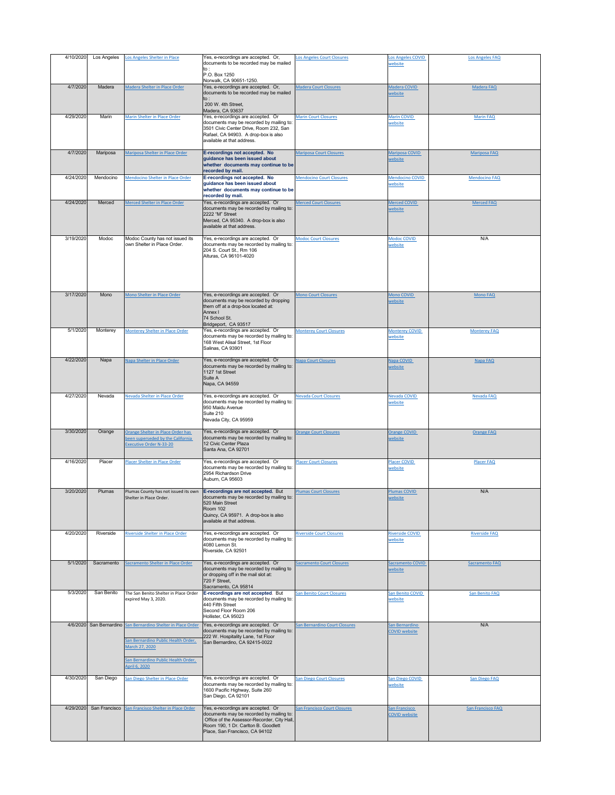| 4/10/2020 | Los Angeles   | Los Angeles Shelter in Place                                                                                                                                                   | Yes, e-recordings are accepted. Or,                                                                                                                                          | Los Angeles Court Closures          | Los Angeles COVID                      | <b>Los Angeles FAQ</b> |
|-----------|---------------|--------------------------------------------------------------------------------------------------------------------------------------------------------------------------------|------------------------------------------------------------------------------------------------------------------------------------------------------------------------------|-------------------------------------|----------------------------------------|------------------------|
|           |               |                                                                                                                                                                                | documents to be recorded may be mailed<br>to:<br>P.O. Box 1250                                                                                                               |                                     | website                                |                        |
| 4/7/2020  | Madera        | Madera Shelter in Place Order                                                                                                                                                  | Norwalk, CA 90651-1250.<br>Yes, e-recordings are accepted. Or,                                                                                                               | <b>Madera Court Closures</b>        | Madera COVID                           | Madera FAQ             |
|           |               |                                                                                                                                                                                | documents to be recorded may be mailed<br>$\vert$ to :<br>200 W. 4th Street,<br>Madera, CA 93637                                                                             |                                     | website                                |                        |
| 4/29/2020 | Marin         | Marin Shelter in Place Order                                                                                                                                                   | Yes, e-recordings are accepted. Or                                                                                                                                           | <b>Marin Court Closures</b>         | <b>Marin COVID</b>                     | <b>Marin FAQ</b>       |
|           |               |                                                                                                                                                                                | documents may be recorded by mailing to:<br>3501 Civic Center Drive, Room 232, San<br>Rafael, CA 94903. A drop-box is also<br>available at that address.                     |                                     | website                                |                        |
| 4/7/2020  | Mariposa      | Mariposa Shelter in Place Order                                                                                                                                                | E-recordings not accepted. No<br>guidance has been issued about<br>whether documents may continue to be<br>recorded by mail.                                                 | <b>Mariposa Court Closures</b>      | Mariposa COVID<br>website              | <b>Mariposa FAQ</b>    |
| 4/24/2020 | Mendocino     | Mendocino Shelter in Place Order                                                                                                                                               | E-recordings not accepted. No<br>guidance has been issued about<br>whether documents may continue to be<br>recorded by mail.                                                 | <b>Mendocino Court Closures</b>     | <b>Mendocino COVID</b><br>website      | <b>Mendocino FAQ</b>   |
| 4/24/2020 | Merced        | Merced Shelter in Place Order                                                                                                                                                  | Yes, e-recordings are accepted. Or<br>documents may be recorded by mailing to:<br>2222 "M" Street<br>Merced, CA 95340. A drop-box is also<br>available at that address.      | <b>Merced Court Closures</b>        | <b>Merced COVID</b><br>website         | <b>Merced FAQ</b>      |
| 3/19/2020 | Modoc         | Modoc County has not issued its<br>Jown Shelter in Place Order.                                                                                                                | Yes, e-recordings are accepted. Or<br>documents may be recorded by mailing to:<br>204 S. Court St., Rm 106<br>Alturas, CA 96101-4020                                         | <b>Modoc Court Closures</b>         | <b>Modoc COVID</b><br>website          | N/A                    |
|           |               |                                                                                                                                                                                |                                                                                                                                                                              |                                     |                                        |                        |
| 3/17/2020 | Mono          | Mono Shelter in Place Order                                                                                                                                                    | Yes, e-recordings are accepted. Or<br>documents may be recorded by dropping<br>them off at a drop-box located at:<br><b>Annex I</b><br>74 School St.<br>Bridgeport, CA 93517 | <b>Mono Court Closures</b>          | <b>Mono COVID</b><br>website           | <b>Mono FAQ</b>        |
| 5/1/2020  | Monterey      | Monterey Shelter in Place Order                                                                                                                                                | Yes, e-recordings are accepted. Or                                                                                                                                           | <b>Monterey Court Closures</b>      | <b>Monterey COVID</b>                  | <b>Monterey FAQ</b>    |
|           |               |                                                                                                                                                                                | documents may be recorded by mailing to:<br>168 West Alisal Street, 1st Floor<br>Salinas, CA 93901                                                                           |                                     | website                                |                        |
| 4/22/2020 | Napa          | Napa Shelter in Place Order                                                                                                                                                    | Yes, e-recordings are accepted. Or<br>documents may be recorded by mailing to:<br>1127 1st Street<br>Suite A<br>Napa, CA 94559                                               | <b>Napa Court Closures</b>          | <b>Napa COVID</b><br>website           | Napa FAQ               |
| 4/27/2020 | Nevada        | Nevada Shelter in Place Order                                                                                                                                                  | Yes, e-recordings are accepted. Or<br>documents may be recorded by mailing to:<br>950 Maidu Avenue<br>Suite 210<br>Nevada City, CA 95959                                     | <b>Nevada Court Closures</b>        | Nevada COVID<br>website                | <b>Nevada FAQ</b>      |
| 3/30/2020 | Orange        | Orange Shelter in Place Order has<br>been superseded by the California<br><b>Executive Order N-33-20</b>                                                                       | Yes, e-recordings are accepted. Or<br>documents may be recorded by mailing to:<br>12 Civic Center Plaza<br>Santa Ana, CA 92701                                               | <b>Orange Court Closures</b>        | <b>Orange COVID</b><br>website         | <b>Orange FAQ</b>      |
| 4/16/2020 | Placer        | Placer Shelter in Place Order                                                                                                                                                  | Yes, e-recordings are accepted. Or<br>documents may be recorded by mailing to:<br>2954 Richardson Drive<br>Auburn, CA 95603                                                  | <b>Placer Court Closures</b>        | <b>Placer COVID</b><br>website         | <b>Placer FAQ</b>      |
| 3/20/2020 | Plumas        | Plumas County has not issued its own                                                                                                                                           | E-recordings are not accepted. But                                                                                                                                           | <b>Plumas Court Closures</b>        | <b>Plumas COVID</b>                    | N/A                    |
|           |               | Shelter in Place Order.                                                                                                                                                        | documents may be recorded by mailing to:<br>520 Main Street<br>Room 102<br>Quincy, CA 95971. A drop-box is also<br>available at that address.                                |                                     | website                                |                        |
| 4/20/2020 | Riverside     | Riverside Shelter in Place Order                                                                                                                                               | Yes, e-recordings are accepted. Or<br>documents may be recorded by mailing to:<br>4080 Lemon St.<br>Riverside, CA 92501                                                      | <b>Riverside Court Closures</b>     | <b>Riverside COVID</b><br>website      | <b>Riverside FAQ</b>   |
| 5/1/2020  | Sacramento    | Sacramento Shelter in Place Order                                                                                                                                              | Yes, e-recordings are accepted. Or<br>documents may be recorded by mailing to<br>or dropping off in the mail slot at:<br>720 F Street,<br>Sacramento, CA 95814               | <b>Sacramento Court Closures</b>    | <b>Sacramento COVID</b><br>website     | Sacramento FAQ         |
| 5/3/2020  | San Benito    | The San Benito Shelter in Place Order<br>expired May 3, 2020.                                                                                                                  | E-recordings are not accepted. But<br>documents may be recorded by mailing to:<br>440 Fifth Street<br>Second Floor Room 206<br>Hollister, CA 95023                           | <b>San Benito Court Closures</b>    | <b>San Benito COVID</b><br>website     | San Benito FAQ         |
|           |               | 4/6/2020 San Bernardino San Bernardino Shelter in Place Order<br>San Bernardino Public Health Order,<br>March 27, 2020<br>San Bernardino Public Health Order,<br>April 6, 2020 | Yes, e-recordings are accepted. Or<br>documents may be recorded by mailing to:<br>222 W. Hospitality Lane, 1st Floor<br>San Bernardino, CA 92415-0022                        | San Bernardino Court Closures       | San Bernardino<br><b>COVID website</b> | N/A                    |
| 4/30/2020 | San Diego     | San Diego Shelter in Place Order                                                                                                                                               | Yes, e-recordings are accepted. Or<br>documents may be recorded by mailing to:<br>1600 Pacific Highway, Suite 260<br>San Diego, CA 92101                                     | <b>San Diego Court Closures</b>     | <b>San Diego COVID</b><br>website      | <b>San Diego FAQ</b>   |
| 4/29/2020 | San Francisco | San Francisco Shelter in Place Order                                                                                                                                           | Yes, e-recordings are accepted. Or<br>documents may be recorded by mailing to:<br>Office of the Assessor-Recorder, City Hall,                                                | <b>San Francisco Court Closures</b> | San Francisco<br><b>COVID website</b>  | San Francisco FAQ      |

| Room 190, 1 Dr. Carlton B. Goodlett |  |  |
|-------------------------------------|--|--|
| Place, San Francisco, CA 94102      |  |  |
|                                     |  |  |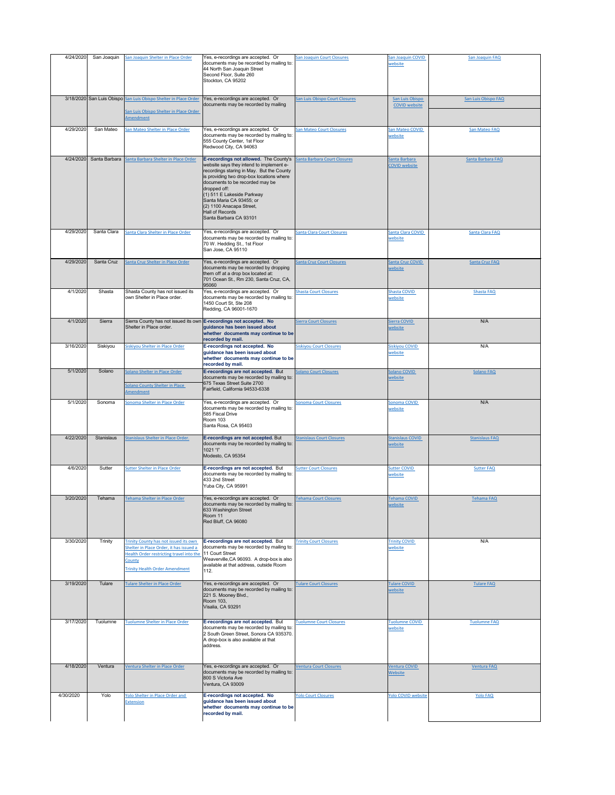| 4/24/2020 | San Joaquin       | San Joaquin Shelter in Place Order                                                                                                                                              | Yes, e-recordings are accepted. Or<br>documents may be recorded by mailing to:<br>44 North San Joaquin Street<br>Second Floor, Suite 260<br>Stockton, CA 95202                                                                                                                                                                                                                | <b>San Joaquin Court Closures</b> | <b>San Joaquin COVID</b><br>website     | San Joaquin FAQ       |
|-----------|-------------------|---------------------------------------------------------------------------------------------------------------------------------------------------------------------------------|-------------------------------------------------------------------------------------------------------------------------------------------------------------------------------------------------------------------------------------------------------------------------------------------------------------------------------------------------------------------------------|-----------------------------------|-----------------------------------------|-----------------------|
|           |                   | 3/18/2020 San Luis Obispo San Luis Obispo Shelter in Place Order<br>San Luis Obispo Shelter in Place Order<br>Amendment                                                         | Yes, e-recordings are accepted. Or<br>documents may be recorded by mailing                                                                                                                                                                                                                                                                                                    | San Luis Obispo Court Closures    | San Luis Obispo<br><b>COVID website</b> | San Luis Obispo FAQ   |
| 4/29/2020 | San Mateo         | San Mateo Shelter in Place Order                                                                                                                                                | Yes, e-recordings are accepted. Or<br>documents may be recorded by mailing to:<br>555 County Center, 1st Floor<br>Redwood City, CA 94063                                                                                                                                                                                                                                      | <b>San Mateo Court Closures</b>   | San Mateo COVID<br>website              | San Mateo FAQ         |
| 4/24/2020 | Santa Barbara     | Santa Barbara Shelter in Place Order                                                                                                                                            | E-recordings not allowed. The County's<br>website says they intend to implement e-<br>recordings staring in May. But the County<br>is providing two drop-box locations where<br>documents to be recorded may be<br>dropped off:<br>$(1)$ 511 E Lakeside Parkway<br>Santa Maria CA 93455; or<br>$(2)$ 1100 Anacapa Street,<br><b>Hall of Records</b><br>Santa Barbara CA 93101 | Santa Barbara Court Closures      | Santa Barbara<br><b>COVID</b> website   | Santa Barbara FAQ     |
| 4/29/2020 | Santa Clara       | Santa Clara Shelter in Place Order                                                                                                                                              | Yes, e-recordings are accepted. Or<br>documents may be recorded by mailing to:<br>70 W. Hedding St., 1st Floor<br>San Jose, CA 95110                                                                                                                                                                                                                                          | <b>Santa Clara Court Closures</b> | <b>Santa Clara COVID</b><br>website     | Santa Clara FAQ       |
| 4/29/2020 | Santa Cruz        | Santa Cruz Shelter in Place Order                                                                                                                                               | Yes, e-recordings are accepted. Or<br>documents may be recorded by dropping<br>them off at a drop box located at:<br>701 Ocean St., Rm 230, Santa Cruz, CA,<br>95060                                                                                                                                                                                                          | <b>Santa Cruz Court Closures</b>  | Santa Cruz COVID<br>website             | Santa Cruz FAQ        |
| 4/1/2020  | Shasta            | Shasta County has not issued its<br>Iown Shelter in Place order.                                                                                                                | Yes, e-recordings are accepted. Or<br>documents may be recorded by mailing to:<br>1450 Court St, Ste 208<br>Redding, CA 96001-1670                                                                                                                                                                                                                                            | <b>Shasta Court Closures</b>      | <b>Shasta COVID</b><br>website          | Shasta FAQ            |
| 4/1/2020  | Sierra            | Sierra County has not issued its own <b>E-recordings not accepted. No</b><br>Shelter in Place order.                                                                            | guidance has been issued about<br>whether documents may continue to be<br>recorded by mail.                                                                                                                                                                                                                                                                                   | <b>Sierra Court Closures</b>      | Sierra COVID<br>website                 | N/A                   |
| 3/16/2020 | Siskiyou          | Siskiyou Shelter in Place Order                                                                                                                                                 | <b>E-recordings not accepted. No</b><br>guidance has been issued about<br>whether documents may continue to be<br>recorded by mail.                                                                                                                                                                                                                                           | <b>Siskiyou Court Closures</b>    | <b>Siskiyou COVID</b><br>website        | N/A                   |
| 5/1/2020  | Solano            | Solano Shelter in Place Order<br><b>Solano County Shelter in Place</b><br>Amendment                                                                                             | E-recordings are not accepted. But<br>documents may be recorded by mailing to:<br>675 Texas Street Suite 2700<br>Fairfield, California 94533-6338                                                                                                                                                                                                                             | <b>Solano Court Closures</b>      | Solano COVID<br>website                 | <b>Solano FAQ</b>     |
| 5/1/2020  | Sonoma            | Sonoma Shelter in Place Order                                                                                                                                                   | Yes, e-recordings are accepted. Or<br>documents may be recorded by mailing to:<br>585 Fiscal Drive<br>Room 103<br>Santa Rosa, CA 95403                                                                                                                                                                                                                                        | <b>Sonoma Court Closures</b>      | Sonoma COVID<br>website                 | N/A                   |
| 4/22/2020 | <b>Stanislaus</b> | Stanislaus Shelter in Place Order.                                                                                                                                              | E-recordings are not accepted. But<br>documents may be recorded by mailing to:<br>1021 "l"<br>Modesto, CA 95354                                                                                                                                                                                                                                                               | <b>Stanislaus Court Closures</b>  | <b>Stanislaus COVID</b><br>website      | <b>Stanislaus FAQ</b> |
| 4/6/2020  | Sutter            | <b>Sutter Shelter in Place Order</b>                                                                                                                                            | E-recordings are not accepted. But<br>documents may be recorded by mailing to:<br>433 2nd Street<br>Yuba City, CA 95991                                                                                                                                                                                                                                                       | <b>Sutter Court Closures</b>      | <b>Sutter COVID</b><br>website          | <b>Sutter FAQ</b>     |
| 3/20/2020 | Tehama            | Tehama Shelter in Place Order                                                                                                                                                   | Yes, e-recordings are accepted. Or<br>documents may be recorded by mailing to:<br>633 Washington Street<br>Room 11<br>Red Bluff, CA 96080                                                                                                                                                                                                                                     | <b>Tehama Court Closures</b>      | <b>Tehama COVID</b><br>website          | <b>Tehama FAQ</b>     |
| 3/30/2020 | <b>Trinity</b>    | Trinity County has not issued its own<br>Shelter in Place Order, it has issued a<br>Health Order restricting travel into the<br>County<br><b>Trinity Health Order Amendment</b> | E-recordings are not accepted. But<br>documents may be recorded by mailing to:<br>11 Court Street<br>Weaverville, CA 96093. A drop-box is also<br>available at that address, outside Room<br>112.                                                                                                                                                                             | <b>Trinity Court Closures</b>     | <b>Trinity COVID</b><br>website         | N/A                   |
| 3/19/2020 | Tulare            | Tulare Shelter in Place Order                                                                                                                                                   | Yes, e-recordings are accepted. Or<br>documents may be recorded by mailing to:<br>221 S. Mooney Blvd.,<br><b>Room 103,</b><br>Visalia, CA 93291                                                                                                                                                                                                                               | <b>Tulare Court Closures</b>      | <b>Tulare COVID</b><br>website          | <b>Tulare FAQ</b>     |
| 3/17/2020 | Tuolumne          | Tuolumne Shelter in Place Order                                                                                                                                                 | E-recordings are not accepted. But<br>documents may be recorded by mailing to:<br>2 South Green Street, Sonora CA 935370.<br>A drop-box is also available at that<br>address.                                                                                                                                                                                                 | <b>Tuolumne Court Closures</b>    | <b>Tuolumne COVID</b><br>website        | <b>Tuolumne FAQ</b>   |
| 4/18/2020 | Ventura           | Ventura Shelter in Place Order                                                                                                                                                  | Yes, e-recordings are accepted. Or<br>documents may be recorded by mailing to:<br>800 S Victoria Ave<br>Ventura, CA 93009                                                                                                                                                                                                                                                     | <b>Ventura Court Closures</b>     | <b>Ventura COVID</b><br>Website         | <b>Ventura FAQ</b>    |
| 4/30/2020 | Yolo              | Yolo Shelter in Place Order and<br><b>Extension</b>                                                                                                                             | <b>E-recordings not accepted. No</b><br>guidance has been issued about<br>whether documents may continue to be<br>recorded by mail.                                                                                                                                                                                                                                           | <b>Yolo Court Closures</b>        | <b>Yolo COVID website</b>               | <b>Yolo FAQ</b>       |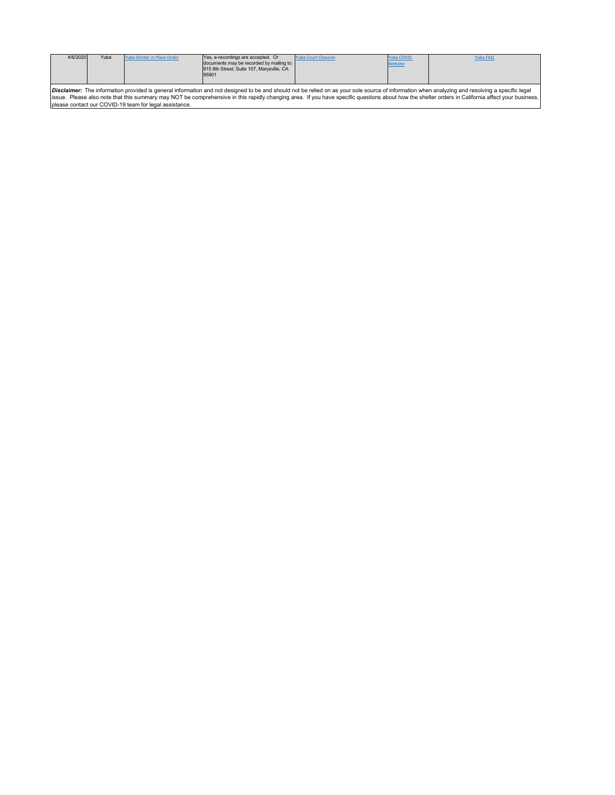| 4/6/2020                                                                                                                                                                                                                                                                                                                                                                                                                                                              | Yuba | Yuba Shelter in Place Order | Yes, e-recordings are accepted. Or<br>documents may be recorded by mailing to:<br>915 8th Street, Suite 107, Marysville, CA<br>95901 | <b>Yuba Court Closures</b> | Yuba COVID<br><b>Website</b> | Yuba FAQ |  |
|-----------------------------------------------------------------------------------------------------------------------------------------------------------------------------------------------------------------------------------------------------------------------------------------------------------------------------------------------------------------------------------------------------------------------------------------------------------------------|------|-----------------------------|--------------------------------------------------------------------------------------------------------------------------------------|----------------------------|------------------------------|----------|--|
| <b>Disclaimer:</b> The information provided is general information and not designed to be and should not be relied on as your sole source of information when analyzing and resolving a specific legal<br>Issue. Please also note that this summary may NOT be comprehensive in this rapidly changing area. If you have specific questions about how the shelter orders in California affect your business,<br>please contact our COVID-19 team for legal assistance. |      |                             |                                                                                                                                      |                            |                              |          |  |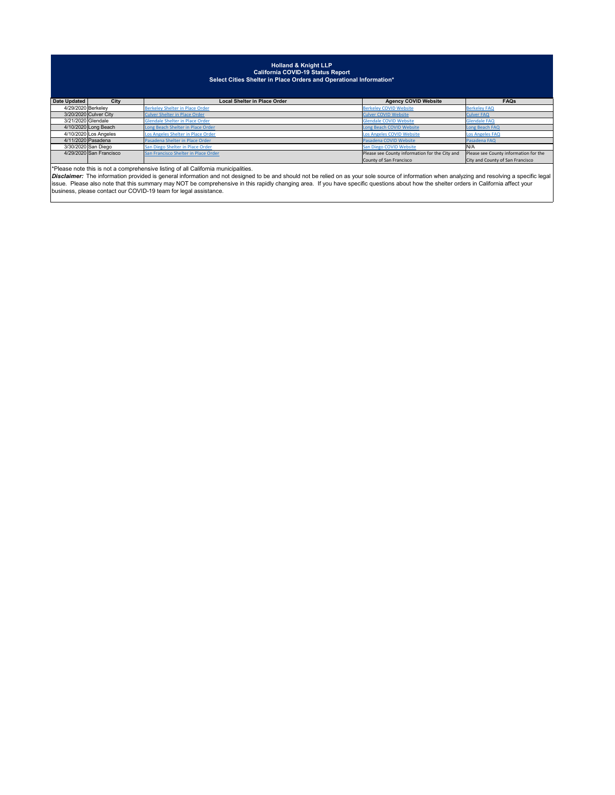| Date Updated       | <b>City</b>             | <b>Local Shelter in Place Order</b>  | <b>Agency COVID Website</b>                    | <b>FAQs</b>                           |
|--------------------|-------------------------|--------------------------------------|------------------------------------------------|---------------------------------------|
| 4/29/2020 Berkeley |                         | Berkeley Shelter in Place Order      | <b>Berkeley COVID Website</b>                  | <b>Berkeley FAQ</b>                   |
|                    | 3/20/2020 Culver City   | Culver Shelter in Place Order        | <b>Culver COVID Website</b>                    | <b>Culver FAQ</b>                     |
| 3/21/2020 Glendale |                         | Glendale Shelter in Place Order      | <b>Glendale COVID Website</b>                  | <b>Glendale FAQ</b>                   |
|                    | 4/10/2020 Long Beach    | Long Beach Shelter in Place Order    | Long Beach COVID Website                       | Long Beach FAQ                        |
|                    | $4/10/2020$ Los Angeles | Los Angeles Shelter in Place Order   | Los Angeles COVID Website                      | <b>Los Angeles FAQ</b>                |
|                    | 4/11/2020 Pasadena      | Pasadena Shelter in Place Order      | Pasadena COVID Website                         | Pasadena FAQ                          |
|                    | 3/30/2020 San Diego     | San Diego Shelter in Place Order     | San Diego COVID Website                        | IN/A                                  |
|                    | 4/29/2020 San Francisco | San Francisco Shelter in Place Order | Please see County information for the City and | Please see County information for the |
|                    |                         |                                      | County of San Francisco                        | City and County of San Francisco      |

## **Holland & Knight LLP California COVID-19 Status Report Select Cities Shelter in Place Orders and Operational Information\***

\*Please note this is not a comprehensive listing of all California municipalities.

*Disclaimer:* The information provided is general information and not designed to be and should not be relied on as your sole source of information when analyzing and resolving a specific legal issue. Please also note that this summary may NOT be comprehensive in this rapidly changing area. If you have specific questions about how the shelter orders in California affect your business, please contact our COVID-19 team for legal assistance.